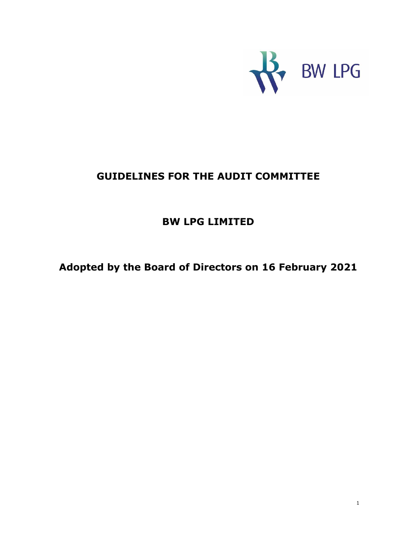

# **GUIDELINES FOR THE AUDIT COMMITTEE**

# **BW LPG LIMITED**

**Adopted by the Board of Directors on 16 February 2021**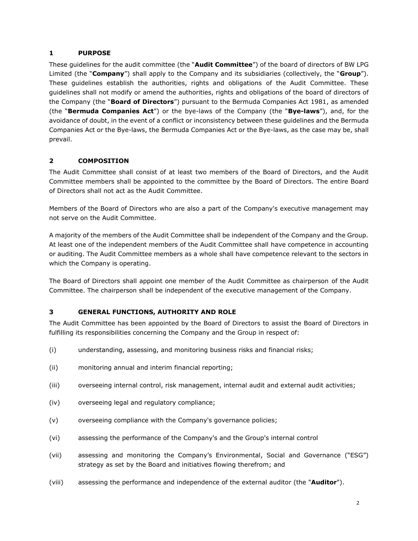#### **1 PURPOSE**

These guidelines for the audit committee (the "**Audit Committee**") of the board of directors of BW LPG Limited (the "**Company**") shall apply to the Company and its subsidiaries (collectively, the "**Group**"). These guidelines establish the authorities, rights and obligations of the Audit Committee. These guidelines shall not modify or amend the authorities, rights and obligations of the board of directors of the Company (the "**Board of Directors**") pursuant to the Bermuda Companies Act 1981, as amended (the "**Bermuda Companies Act**") or the bye-laws of the Company (the "**Bye-laws**"), and, for the avoidance of doubt, in the event of a conflict or inconsistency between these guidelines and the Bermuda Companies Act or the Bye-laws, the Bermuda Companies Act or the Bye-laws, as the case may be, shall prevail.

# **2 COMPOSITION**

The Audit Committee shall consist of at least two members of the Board of Directors, and the Audit Committee members shall be appointed to the committee by the Board of Directors. The entire Board of Directors shall not act as the Audit Committee.

Members of the Board of Directors who are also a part of the Company's executive management may not serve on the Audit Committee.

A majority of the members of the Audit Committee shall be independent of the Company and the Group. At least one of the independent members of the Audit Committee shall have competence in accounting or auditing. The Audit Committee members as a whole shall have competence relevant to the sectors in which the Company is operating.

The Board of Directors shall appoint one member of the Audit Committee as chairperson of the Audit Committee. The chairperson shall be independent of the executive management of the Company.

#### **3 GENERAL FUNCTIONS, AUTHORITY AND ROLE**

The Audit Committee has been appointed by the Board of Directors to assist the Board of Directors in fulfilling its responsibilities concerning the Company and the Group in respect of:

- (i) understanding, assessing, and monitoring business risks and financial risks;
- (ii) monitoring annual and interim financial reporting;
- (iii) overseeing internal control, risk management, internal audit and external audit activities;
- (iv) overseeing legal and regulatory compliance;
- (v) overseeing compliance with the Company's governance policies;
- (vi) assessing the performance of the Company's and the Group's internal control
- (vii) assessing and monitoring the Company's Environmental, Social and Governance ("ESG") strategy as set by the Board and initiatives flowing therefrom; and
- (viii) assessing the performance and independence of the external auditor (the "**Auditor**").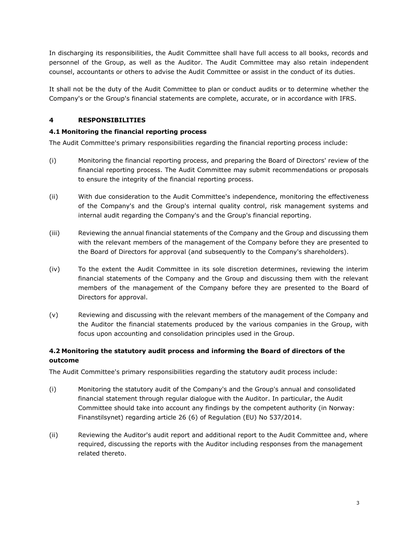In discharging its responsibilities, the Audit Committee shall have full access to all books, records and personnel of the Group, as well as the Auditor. The Audit Committee may also retain independent counsel, accountants or others to advise the Audit Committee or assist in the conduct of its duties.

It shall not be the duty of the Audit Committee to plan or conduct audits or to determine whether the Company's or the Group's financial statements are complete, accurate, or in accordance with IFRS.

# **4 RESPONSIBILITIES**

#### **4.1 Monitoring the financial reporting process**

The Audit Committee's primary responsibilities regarding the financial reporting process include:

- (i) Monitoring the financial reporting process, and preparing the Board of Directors' review of the financial reporting process. The Audit Committee may submit recommendations or proposals to ensure the integrity of the financial reporting process.
- (ii) With due consideration to the Audit Committee's independence, monitoring the effectiveness of the Company's and the Group's internal quality control, risk management systems and internal audit regarding the Company's and the Group's financial reporting.
- (iii) Reviewing the annual financial statements of the Company and the Group and discussing them with the relevant members of the management of the Company before they are presented to the Board of Directors for approval (and subsequently to the Company's shareholders).
- (iv) To the extent the Audit Committee in its sole discretion determines, reviewing the interim financial statements of the Company and the Group and discussing them with the relevant members of the management of the Company before they are presented to the Board of Directors for approval.
- (v) Reviewing and discussing with the relevant members of the management of the Company and the Auditor the financial statements produced by the various companies in the Group, with focus upon accounting and consolidation principles used in the Group.

# **4.2 Monitoring the statutory audit process and informing the Board of directors of the outcome**

The Audit Committee's primary responsibilities regarding the statutory audit process include:

- (i) Monitoring the statutory audit of the Company's and the Group's annual and consolidated financial statement through regular dialogue with the Auditor. In particular, the Audit Committee should take into account any findings by the competent authority (in Norway: Finanstilsynet) regarding article 26 (6) of Regulation (EU) No 537/2014.
- (ii) Reviewing the Auditor's audit report and additional report to the Audit Committee and, where required, discussing the reports with the Auditor including responses from the management related thereto.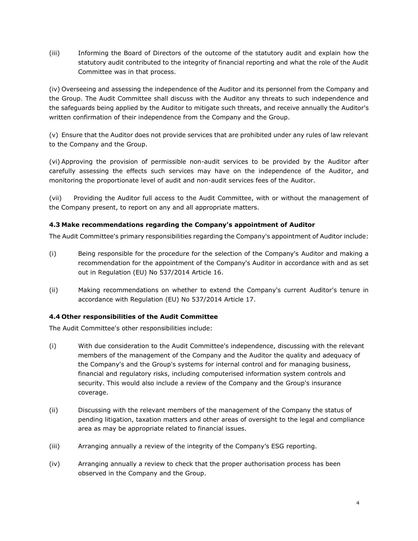(iii) Informing the Board of Directors of the outcome of the statutory audit and explain how the statutory audit contributed to the integrity of financial reporting and what the role of the Audit Committee was in that process.

(iv) Overseeing and assessing the independence of the Auditor and its personnel from the Company and the Group. The Audit Committee shall discuss with the Auditor any threats to such independence and the safeguards being applied by the Auditor to mitigate such threats, and receive annually the Auditor's written confirmation of their independence from the Company and the Group.

(v) Ensure that the Auditor does not provide services that are prohibited under any rules of law relevant to the Company and the Group.

(vi) Approving the provision of permissible non-audit services to be provided by the Auditor after carefully assessing the effects such services may have on the independence of the Auditor, and monitoring the proportionate level of audit and non-audit services fees of the Auditor.

(vii) Providing the Auditor full access to the Audit Committee, with or without the management of the Company present, to report on any and all appropriate matters.

#### **4.3 Make recommendations regarding the Company's appointment of Auditor**

The Audit Committee's primary responsibilities regarding the Company's appointment of Auditor include:

- (i) Being responsible for the procedure for the selection of the Company's Auditor and making a recommendation for the appointment of the Company's Auditor in accordance with and as set out in Regulation (EU) No 537/2014 Article 16.
- (ii) Making recommendations on whether to extend the Company's current Auditor's tenure in accordance with Regulation (EU) No 537/2014 Article 17.

#### **4.4 Other responsibilities of the Audit Committee**

The Audit Committee's other responsibilities include:

- (i) With due consideration to the Audit Committee's independence, discussing with the relevant members of the management of the Company and the Auditor the quality and adequacy of the Company's and the Group's systems for internal control and for managing business, financial and regulatory risks, including computerised information system controls and security. This would also include a review of the Company and the Group's insurance coverage.
- (ii) Discussing with the relevant members of the management of the Company the status of pending litigation, taxation matters and other areas of oversight to the legal and compliance area as may be appropriate related to financial issues.
- (iii) Arranging annually a review of the integrity of the Company's ESG reporting.
- (iv) Arranging annually a review to check that the proper authorisation process has been observed in the Company and the Group.